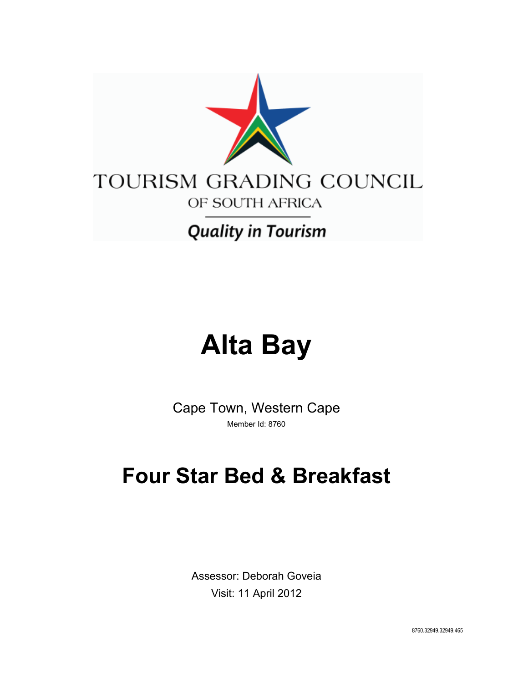

# **Alta Bay**

Cape Town, Western Cape Member Id: 8760

## **Four Star Bed & Breakfast**

Assessor: Deborah Goveia Visit: 11 April 2012

8760.32949.32949.465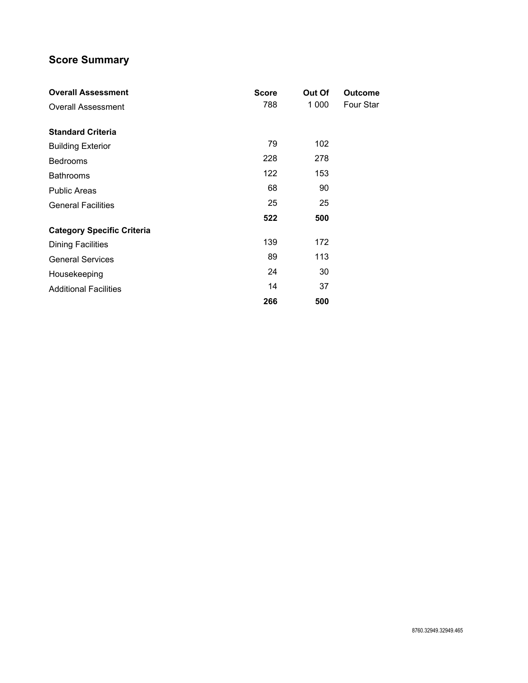## **Score Summary**

| <b>Overall Assessment</b>         | <b>Score</b> | Out Of | <b>Outcome</b> |
|-----------------------------------|--------------|--------|----------------|
| <b>Overall Assessment</b>         | 788          | 1 000  | Four Star      |
|                                   |              |        |                |
| <b>Standard Criteria</b>          |              |        |                |
| <b>Building Exterior</b>          | 79           | 102    |                |
| <b>Bedrooms</b>                   | 228          | 278    |                |
| <b>Bathrooms</b>                  | 122          | 153    |                |
| <b>Public Areas</b>               | 68           | 90     |                |
| <b>General Facilities</b>         | 25           | 25     |                |
|                                   | 522          | 500    |                |
| <b>Category Specific Criteria</b> |              |        |                |
| <b>Dining Facilities</b>          | 139          | 172    |                |
| <b>General Services</b>           | 89           | 113    |                |
| Housekeeping                      | 24           | 30     |                |
| <b>Additional Facilities</b>      | 14           | 37     |                |
|                                   | 266          | 500    |                |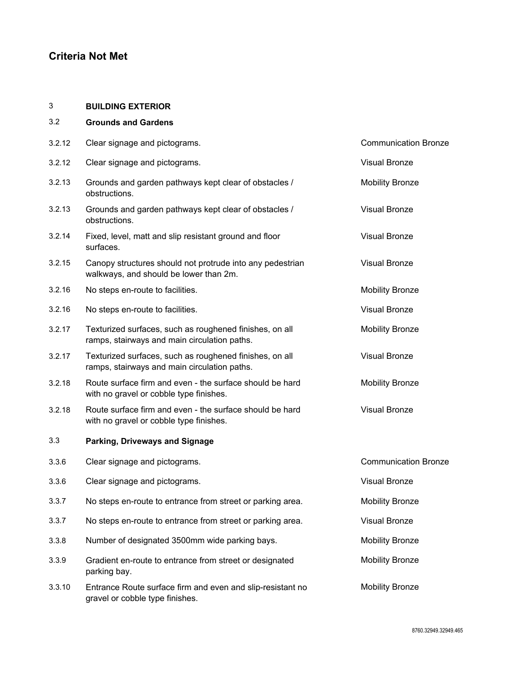## **Criteria Not Met**

#### 3 **BUILDING EXTERIOR**

| 3.2    | <b>Grounds and Gardens</b>                                                                              |                             |
|--------|---------------------------------------------------------------------------------------------------------|-----------------------------|
| 3.2.12 | Clear signage and pictograms.                                                                           | <b>Communication Bronze</b> |
| 3.2.12 | Clear signage and pictograms.                                                                           | <b>Visual Bronze</b>        |
| 3.2.13 | Grounds and garden pathways kept clear of obstacles /<br>obstructions.                                  | <b>Mobility Bronze</b>      |
| 3.2.13 | Grounds and garden pathways kept clear of obstacles /<br>obstructions.                                  | <b>Visual Bronze</b>        |
| 3.2.14 | Fixed, level, matt and slip resistant ground and floor<br>surfaces.                                     | <b>Visual Bronze</b>        |
| 3.2.15 | Canopy structures should not protrude into any pedestrian<br>walkways, and should be lower than 2m.     | <b>Visual Bronze</b>        |
| 3.2.16 | No steps en-route to facilities.                                                                        | <b>Mobility Bronze</b>      |
| 3.2.16 | No steps en-route to facilities.                                                                        | <b>Visual Bronze</b>        |
| 3.2.17 | Texturized surfaces, such as roughened finishes, on all<br>ramps, stairways and main circulation paths. | <b>Mobility Bronze</b>      |
| 3.2.17 | Texturized surfaces, such as roughened finishes, on all<br>ramps, stairways and main circulation paths. | <b>Visual Bronze</b>        |
| 3.2.18 | Route surface firm and even - the surface should be hard<br>with no gravel or cobble type finishes.     | <b>Mobility Bronze</b>      |
| 3.2.18 | Route surface firm and even - the surface should be hard<br>with no gravel or cobble type finishes.     | <b>Visual Bronze</b>        |
| 3.3    | Parking, Driveways and Signage                                                                          |                             |
| 3.3.6  | Clear signage and pictograms.                                                                           | <b>Communication Bronze</b> |
| 3.3.6  | Clear signage and pictograms.                                                                           | <b>Visual Bronze</b>        |
| 3.3.7  | No steps en-route to entrance from street or parking area.                                              | <b>Mobility Bronze</b>      |
| 3.3.7  | No steps en-route to entrance from street or parking area.                                              | <b>Visual Bronze</b>        |
| 3.3.8  | Number of designated 3500mm wide parking bays.                                                          | <b>Mobility Bronze</b>      |
| 3.3.9  | Gradient en-route to entrance from street or designated<br>parking bay.                                 | <b>Mobility Bronze</b>      |
| 3.3.10 | Entrance Route surface firm and even and slip-resistant no<br>gravel or cobble type finishes.           | <b>Mobility Bronze</b>      |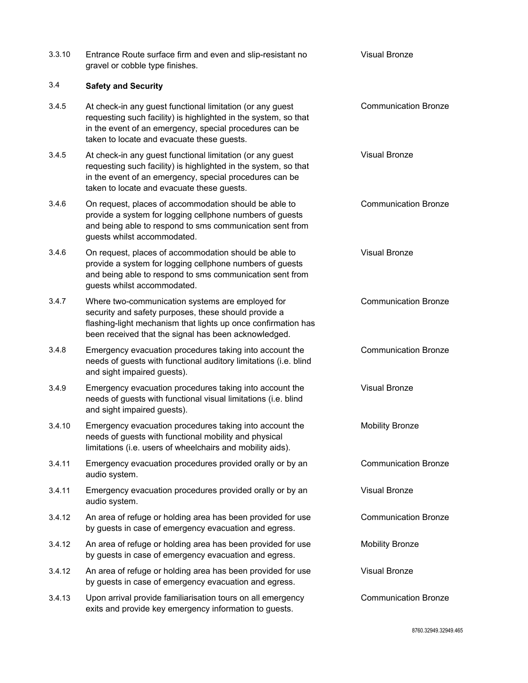| 3.3.10 | Entrance Route surface firm and even and slip-resistant no<br>gravel or cobble type finishes.                                                                                                                                         | <b>Visual Bronze</b>        |
|--------|---------------------------------------------------------------------------------------------------------------------------------------------------------------------------------------------------------------------------------------|-----------------------------|
| 3.4    | <b>Safety and Security</b>                                                                                                                                                                                                            |                             |
| 3.4.5  | At check-in any guest functional limitation (or any guest<br>requesting such facility) is highlighted in the system, so that<br>in the event of an emergency, special procedures can be<br>taken to locate and evacuate these guests. | <b>Communication Bronze</b> |
| 3.4.5  | At check-in any guest functional limitation (or any guest<br>requesting such facility) is highlighted in the system, so that<br>in the event of an emergency, special procedures can be<br>taken to locate and evacuate these guests. | <b>Visual Bronze</b>        |
| 3.4.6  | On request, places of accommodation should be able to<br>provide a system for logging cellphone numbers of guests<br>and being able to respond to sms communication sent from<br>guests whilst accommodated.                          | <b>Communication Bronze</b> |
| 3.4.6  | On request, places of accommodation should be able to<br>provide a system for logging cellphone numbers of guests<br>and being able to respond to sms communication sent from<br>guests whilst accommodated.                          | <b>Visual Bronze</b>        |
| 3.4.7  | Where two-communication systems are employed for<br>security and safety purposes, these should provide a<br>flashing-light mechanism that lights up once confirmation has<br>been received that the signal has been acknowledged.     | <b>Communication Bronze</b> |
| 3.4.8  | Emergency evacuation procedures taking into account the<br>needs of guests with functional auditory limitations (i.e. blind<br>and sight impaired guests).                                                                            | <b>Communication Bronze</b> |
| 3.4.9  | Emergency evacuation procedures taking into account the<br>needs of guests with functional visual limitations (i.e. blind<br>and sight impaired guests).                                                                              | <b>Visual Bronze</b>        |
| 3.4.10 | Emergency evacuation procedures taking into account the<br>needs of guests with functional mobility and physical<br>limitations (i.e. users of wheelchairs and mobility aids).                                                        | <b>Mobility Bronze</b>      |
| 3.4.11 | Emergency evacuation procedures provided orally or by an<br>audio system.                                                                                                                                                             | <b>Communication Bronze</b> |
| 3.4.11 | Emergency evacuation procedures provided orally or by an<br>audio system.                                                                                                                                                             | <b>Visual Bronze</b>        |
| 3.4.12 | An area of refuge or holding area has been provided for use<br>by guests in case of emergency evacuation and egress.                                                                                                                  | <b>Communication Bronze</b> |
| 3.4.12 | An area of refuge or holding area has been provided for use<br>by guests in case of emergency evacuation and egress.                                                                                                                  | <b>Mobility Bronze</b>      |
| 3.4.12 | An area of refuge or holding area has been provided for use<br>by guests in case of emergency evacuation and egress.                                                                                                                  | <b>Visual Bronze</b>        |
| 3.4.13 | Upon arrival provide familiarisation tours on all emergency<br>exits and provide key emergency information to guests.                                                                                                                 | <b>Communication Bronze</b> |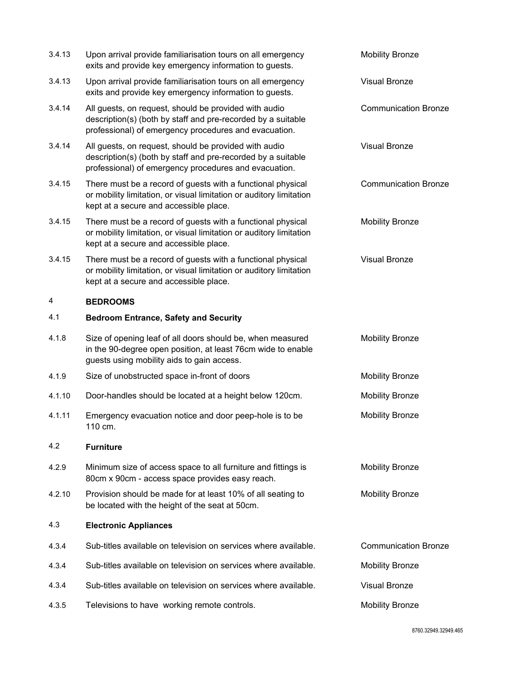| 3.4.13 | Upon arrival provide familiarisation tours on all emergency<br>exits and provide key emergency information to guests.                                                          | <b>Mobility Bronze</b>      |
|--------|--------------------------------------------------------------------------------------------------------------------------------------------------------------------------------|-----------------------------|
| 3.4.13 | Upon arrival provide familiarisation tours on all emergency<br>exits and provide key emergency information to guests.                                                          | <b>Visual Bronze</b>        |
| 3.4.14 | All guests, on request, should be provided with audio<br>description(s) (both by staff and pre-recorded by a suitable<br>professional) of emergency procedures and evacuation. | <b>Communication Bronze</b> |
| 3.4.14 | All guests, on request, should be provided with audio<br>description(s) (both by staff and pre-recorded by a suitable<br>professional) of emergency procedures and evacuation. | Visual Bronze               |
| 3.4.15 | There must be a record of guests with a functional physical<br>or mobility limitation, or visual limitation or auditory limitation<br>kept at a secure and accessible place.   | <b>Communication Bronze</b> |
| 3.4.15 | There must be a record of guests with a functional physical<br>or mobility limitation, or visual limitation or auditory limitation<br>kept at a secure and accessible place.   | <b>Mobility Bronze</b>      |
| 3.4.15 | There must be a record of guests with a functional physical<br>or mobility limitation, or visual limitation or auditory limitation<br>kept at a secure and accessible place.   | <b>Visual Bronze</b>        |
| 4      | <b>BEDROOMS</b>                                                                                                                                                                |                             |
| 4.1    | <b>Bedroom Entrance, Safety and Security</b>                                                                                                                                   |                             |
| 4.1.8  | Size of opening leaf of all doors should be, when measured<br>in the 90-degree open position, at least 76cm wide to enable<br>guests using mobility aids to gain access.       | <b>Mobility Bronze</b>      |
| 4.1.9  | Size of unobstructed space in-front of doors                                                                                                                                   | <b>Mobility Bronze</b>      |
| 4.1.10 | Door-handles should be located at a height below 120cm.                                                                                                                        | <b>Mobility Bronze</b>      |
| 4.1.11 | Emergency evacuation notice and door peep-hole is to be<br>110 cm.                                                                                                             | <b>Mobility Bronze</b>      |
| 4.2    | <b>Furniture</b>                                                                                                                                                               |                             |
| 4.2.9  | Minimum size of access space to all furniture and fittings is<br>80cm x 90cm - access space provides easy reach.                                                               | <b>Mobility Bronze</b>      |
| 4.2.10 | Provision should be made for at least 10% of all seating to<br>be located with the height of the seat at 50cm.                                                                 | <b>Mobility Bronze</b>      |
| 4.3    | <b>Electronic Appliances</b>                                                                                                                                                   |                             |
| 4.3.4  | Sub-titles available on television on services where available.                                                                                                                | <b>Communication Bronze</b> |
| 4.3.4  | Sub-titles available on television on services where available.                                                                                                                | <b>Mobility Bronze</b>      |
|        |                                                                                                                                                                                |                             |
| 4.3.4  | Sub-titles available on television on services where available.                                                                                                                | Visual Bronze               |
| 4.3.5  | Televisions to have working remote controls.                                                                                                                                   | <b>Mobility Bronze</b>      |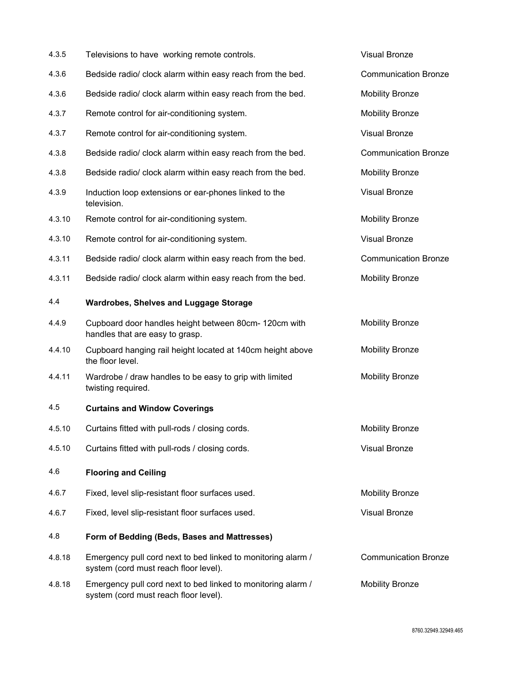| 4.3.5  | Televisions to have working remote controls.                                                          | <b>Visual Bronze</b>        |
|--------|-------------------------------------------------------------------------------------------------------|-----------------------------|
| 4.3.6  | Bedside radio/ clock alarm within easy reach from the bed.                                            | <b>Communication Bronze</b> |
| 4.3.6  | Bedside radio/ clock alarm within easy reach from the bed.                                            | <b>Mobility Bronze</b>      |
| 4.3.7  | Remote control for air-conditioning system.                                                           | <b>Mobility Bronze</b>      |
| 4.3.7  | Remote control for air-conditioning system.                                                           | <b>Visual Bronze</b>        |
| 4.3.8  | Bedside radio/ clock alarm within easy reach from the bed.                                            | <b>Communication Bronze</b> |
| 4.3.8  | Bedside radio/ clock alarm within easy reach from the bed.                                            | <b>Mobility Bronze</b>      |
| 4.3.9  | Induction loop extensions or ear-phones linked to the<br>television.                                  | <b>Visual Bronze</b>        |
| 4.3.10 | Remote control for air-conditioning system.                                                           | <b>Mobility Bronze</b>      |
| 4.3.10 | Remote control for air-conditioning system.                                                           | <b>Visual Bronze</b>        |
| 4.3.11 | Bedside radio/ clock alarm within easy reach from the bed.                                            | <b>Communication Bronze</b> |
| 4.3.11 | Bedside radio/ clock alarm within easy reach from the bed.                                            | <b>Mobility Bronze</b>      |
| 4.4    | <b>Wardrobes, Shelves and Luggage Storage</b>                                                         |                             |
| 4.4.9  | Cupboard door handles height between 80cm- 120cm with<br>handles that are easy to grasp.              | <b>Mobility Bronze</b>      |
| 4.4.10 | Cupboard hanging rail height located at 140cm height above<br>the floor level.                        | <b>Mobility Bronze</b>      |
| 4.4.11 | Wardrobe / draw handles to be easy to grip with limited<br>twisting required.                         | <b>Mobility Bronze</b>      |
| 4.5    | <b>Curtains and Window Coverings</b>                                                                  |                             |
| 4.5.10 | Curtains fitted with pull-rods / closing cords.                                                       | <b>Mobility Bronze</b>      |
| 4.5.10 | Curtains fitted with pull-rods / closing cords.                                                       | <b>Visual Bronze</b>        |
| 4.6    | <b>Flooring and Ceiling</b>                                                                           |                             |
| 4.6.7  | Fixed, level slip-resistant floor surfaces used.                                                      | <b>Mobility Bronze</b>      |
| 4.6.7  | Fixed, level slip-resistant floor surfaces used.                                                      | <b>Visual Bronze</b>        |
| 4.8    | Form of Bedding (Beds, Bases and Mattresses)                                                          |                             |
| 4.8.18 | Emergency pull cord next to bed linked to monitoring alarm /<br>system (cord must reach floor level). | <b>Communication Bronze</b> |
| 4.8.18 | Emergency pull cord next to bed linked to monitoring alarm /<br>system (cord must reach floor level). | <b>Mobility Bronze</b>      |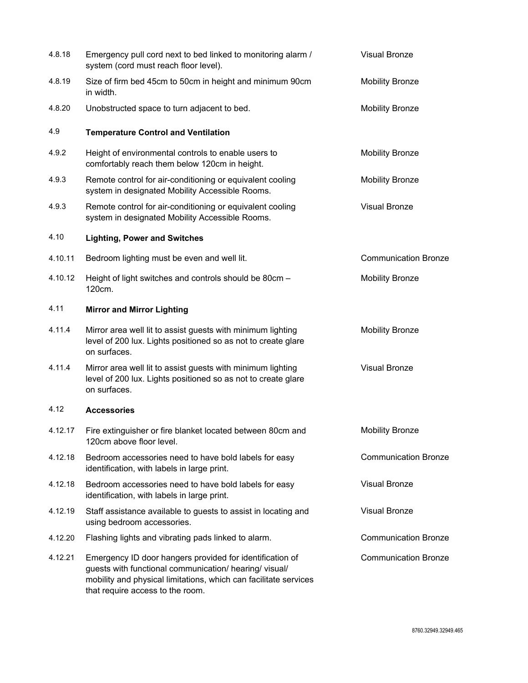| 4.8.18  | Emergency pull cord next to bed linked to monitoring alarm /<br>system (cord must reach floor level).                                                                                                                      | <b>Visual Bronze</b>        |
|---------|----------------------------------------------------------------------------------------------------------------------------------------------------------------------------------------------------------------------------|-----------------------------|
| 4.8.19  | Size of firm bed 45cm to 50cm in height and minimum 90cm<br>in width.                                                                                                                                                      | <b>Mobility Bronze</b>      |
| 4.8.20  | Unobstructed space to turn adjacent to bed.                                                                                                                                                                                | <b>Mobility Bronze</b>      |
| 4.9     | <b>Temperature Control and Ventilation</b>                                                                                                                                                                                 |                             |
| 4.9.2   | Height of environmental controls to enable users to<br>comfortably reach them below 120cm in height.                                                                                                                       | <b>Mobility Bronze</b>      |
| 4.9.3   | Remote control for air-conditioning or equivalent cooling<br>system in designated Mobility Accessible Rooms.                                                                                                               | <b>Mobility Bronze</b>      |
| 4.9.3   | Remote control for air-conditioning or equivalent cooling<br>system in designated Mobility Accessible Rooms.                                                                                                               | <b>Visual Bronze</b>        |
| 4.10    | <b>Lighting, Power and Switches</b>                                                                                                                                                                                        |                             |
| 4.10.11 | Bedroom lighting must be even and well lit.                                                                                                                                                                                | <b>Communication Bronze</b> |
| 4.10.12 | Height of light switches and controls should be 80cm -<br>120cm.                                                                                                                                                           | <b>Mobility Bronze</b>      |
| 4.11    | <b>Mirror and Mirror Lighting</b>                                                                                                                                                                                          |                             |
| 4.11.4  | Mirror area well lit to assist guests with minimum lighting<br>level of 200 lux. Lights positioned so as not to create glare<br>on surfaces.                                                                               | <b>Mobility Bronze</b>      |
| 4.11.4  | Mirror area well lit to assist guests with minimum lighting<br>level of 200 lux. Lights positioned so as not to create glare<br>on surfaces.                                                                               | <b>Visual Bronze</b>        |
| 4.12    | <b>Accessories</b>                                                                                                                                                                                                         |                             |
| 4.12.17 | Fire extinguisher or fire blanket located between 80cm and<br>120cm above floor level.                                                                                                                                     | <b>Mobility Bronze</b>      |
| 4.12.18 | Bedroom accessories need to have bold labels for easy<br>identification, with labels in large print.                                                                                                                       | <b>Communication Bronze</b> |
| 4.12.18 | Bedroom accessories need to have bold labels for easy<br>identification, with labels in large print.                                                                                                                       | <b>Visual Bronze</b>        |
| 4.12.19 | Staff assistance available to guests to assist in locating and<br>using bedroom accessories.                                                                                                                               | <b>Visual Bronze</b>        |
| 4.12.20 | Flashing lights and vibrating pads linked to alarm.                                                                                                                                                                        | <b>Communication Bronze</b> |
| 4.12.21 | Emergency ID door hangers provided for identification of<br>guests with functional communication/ hearing/ visual/<br>mobility and physical limitations, which can facilitate services<br>that require access to the room. | <b>Communication Bronze</b> |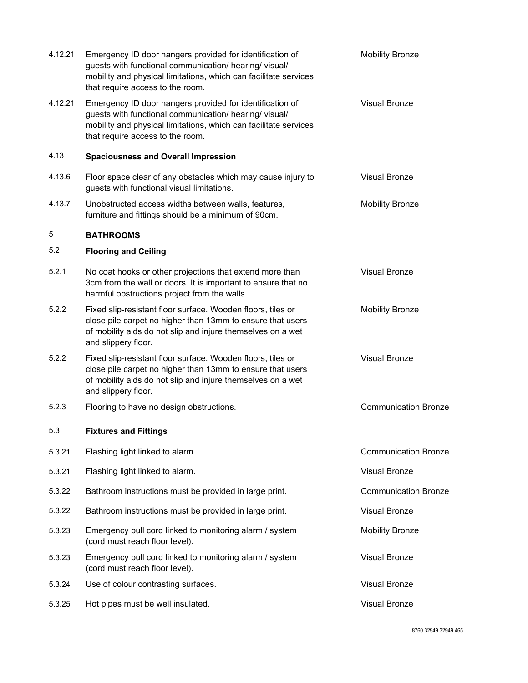| 4.12.21 | Emergency ID door hangers provided for identification of<br>guests with functional communication/ hearing/ visual/<br>mobility and physical limitations, which can facilitate services<br>that require access to the room. | <b>Mobility Bronze</b>      |
|---------|----------------------------------------------------------------------------------------------------------------------------------------------------------------------------------------------------------------------------|-----------------------------|
| 4.12.21 | Emergency ID door hangers provided for identification of<br>guests with functional communication/ hearing/ visual/<br>mobility and physical limitations, which can facilitate services<br>that require access to the room. | <b>Visual Bronze</b>        |
| 4.13    | <b>Spaciousness and Overall Impression</b>                                                                                                                                                                                 |                             |
| 4.13.6  | Floor space clear of any obstacles which may cause injury to<br>guests with functional visual limitations.                                                                                                                 | <b>Visual Bronze</b>        |
| 4.13.7  | Unobstructed access widths between walls, features,<br>furniture and fittings should be a minimum of 90cm.                                                                                                                 | <b>Mobility Bronze</b>      |
| 5       | <b>BATHROOMS</b>                                                                                                                                                                                                           |                             |
| 5.2     | <b>Flooring and Ceiling</b>                                                                                                                                                                                                |                             |
| 5.2.1   | No coat hooks or other projections that extend more than<br>3cm from the wall or doors. It is important to ensure that no<br>harmful obstructions project from the walls.                                                  | <b>Visual Bronze</b>        |
| 5.2.2   | Fixed slip-resistant floor surface. Wooden floors, tiles or<br>close pile carpet no higher than 13mm to ensure that users<br>of mobility aids do not slip and injure themselves on a wet<br>and slippery floor.            | <b>Mobility Bronze</b>      |
| 5.2.2   | Fixed slip-resistant floor surface. Wooden floors, tiles or<br>close pile carpet no higher than 13mm to ensure that users<br>of mobility aids do not slip and injure themselves on a wet<br>and slippery floor.            | <b>Visual Bronze</b>        |
| 5.2.3   | Flooring to have no design obstructions.                                                                                                                                                                                   | <b>Communication Bronze</b> |
| 5.3     | <b>Fixtures and Fittings</b>                                                                                                                                                                                               |                             |
| 5.3.21  | Flashing light linked to alarm.                                                                                                                                                                                            | <b>Communication Bronze</b> |
| 5.3.21  | Flashing light linked to alarm.                                                                                                                                                                                            | <b>Visual Bronze</b>        |
| 5.3.22  | Bathroom instructions must be provided in large print.                                                                                                                                                                     | <b>Communication Bronze</b> |
| 5.3.22  | Bathroom instructions must be provided in large print.                                                                                                                                                                     | <b>Visual Bronze</b>        |
| 5.3.23  | Emergency pull cord linked to monitoring alarm / system<br>(cord must reach floor level).                                                                                                                                  | <b>Mobility Bronze</b>      |
| 5.3.23  | Emergency pull cord linked to monitoring alarm / system<br>(cord must reach floor level).                                                                                                                                  | <b>Visual Bronze</b>        |
| 5.3.24  | Use of colour contrasting surfaces.                                                                                                                                                                                        | <b>Visual Bronze</b>        |
| 5.3.25  | Hot pipes must be well insulated.                                                                                                                                                                                          | <b>Visual Bronze</b>        |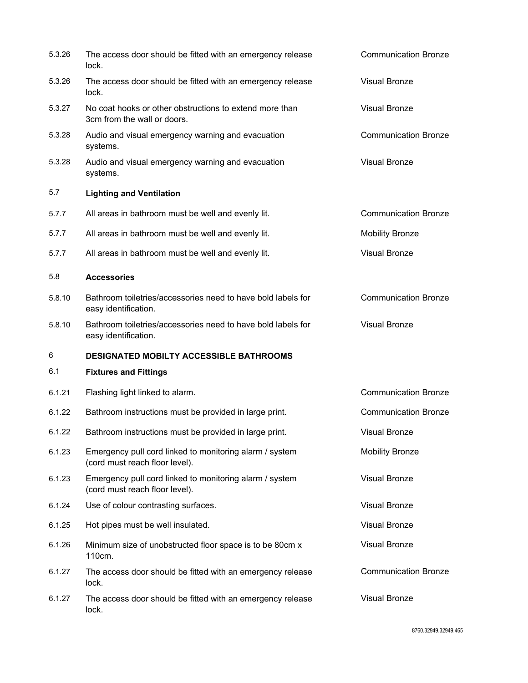| 5.3.26 | The access door should be fitted with an emergency release<br>lock.                       | <b>Communication Bronze</b> |
|--------|-------------------------------------------------------------------------------------------|-----------------------------|
| 5.3.26 | The access door should be fitted with an emergency release<br>lock.                       | <b>Visual Bronze</b>        |
| 5.3.27 | No coat hooks or other obstructions to extend more than<br>3cm from the wall or doors.    | <b>Visual Bronze</b>        |
| 5.3.28 | Audio and visual emergency warning and evacuation<br>systems.                             | <b>Communication Bronze</b> |
| 5.3.28 | Audio and visual emergency warning and evacuation<br>systems.                             | <b>Visual Bronze</b>        |
| 5.7    | <b>Lighting and Ventilation</b>                                                           |                             |
| 5.7.7  | All areas in bathroom must be well and evenly lit.                                        | <b>Communication Bronze</b> |
| 5.7.7  | All areas in bathroom must be well and evenly lit.                                        | <b>Mobility Bronze</b>      |
| 5.7.7  | All areas in bathroom must be well and evenly lit.                                        | <b>Visual Bronze</b>        |
| 5.8    | <b>Accessories</b>                                                                        |                             |
| 5.8.10 | Bathroom toiletries/accessories need to have bold labels for<br>easy identification.      | <b>Communication Bronze</b> |
| 5.8.10 | Bathroom toiletries/accessories need to have bold labels for<br>easy identification.      | <b>Visual Bronze</b>        |
| 6      | <b>DESIGNATED MOBILTY ACCESSIBLE BATHROOMS</b>                                            |                             |
| 6.1    | <b>Fixtures and Fittings</b>                                                              |                             |
| 6.1.21 | Flashing light linked to alarm.                                                           | <b>Communication Bronze</b> |
| 6.1.22 | Bathroom instructions must be provided in large print.                                    | <b>Communication Bronze</b> |
| 6.1.22 | Bathroom instructions must be provided in large print.                                    | <b>Visual Bronze</b>        |
| 6.1.23 | Emergency pull cord linked to monitoring alarm / system<br>(cord must reach floor level). | <b>Mobility Bronze</b>      |
| 6.1.23 | Emergency pull cord linked to monitoring alarm / system<br>(cord must reach floor level). | <b>Visual Bronze</b>        |
| 6.1.24 | Use of colour contrasting surfaces.                                                       | <b>Visual Bronze</b>        |
| 6.1.25 | Hot pipes must be well insulated.                                                         | <b>Visual Bronze</b>        |
| 6.1.26 | Minimum size of unobstructed floor space is to be 80cm x<br>110cm.                        | <b>Visual Bronze</b>        |
| 6.1.27 | The access door should be fitted with an emergency release<br>lock.                       | <b>Communication Bronze</b> |
| 6.1.27 | The access door should be fitted with an emergency release<br>lock.                       | <b>Visual Bronze</b>        |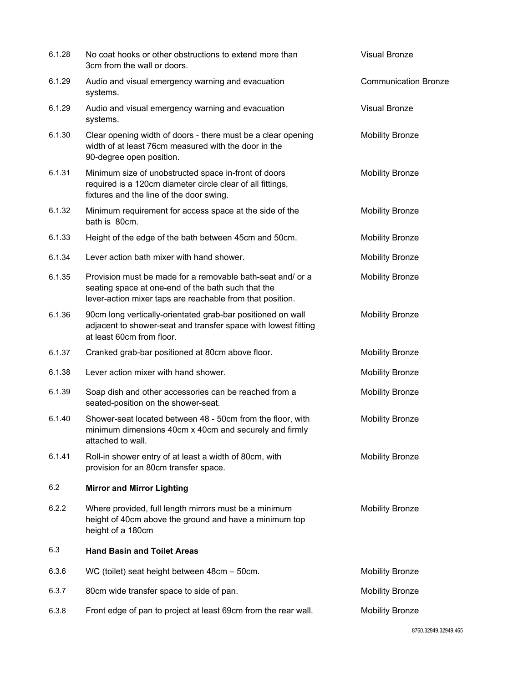| 6.1.28 | No coat hooks or other obstructions to extend more than<br>3cm from the wall or doors.                                                                                        | <b>Visual Bronze</b>        |
|--------|-------------------------------------------------------------------------------------------------------------------------------------------------------------------------------|-----------------------------|
| 6.1.29 | Audio and visual emergency warning and evacuation<br>systems.                                                                                                                 | <b>Communication Bronze</b> |
| 6.1.29 | Audio and visual emergency warning and evacuation<br>systems.                                                                                                                 | <b>Visual Bronze</b>        |
| 6.1.30 | Clear opening width of doors - there must be a clear opening<br>width of at least 76cm measured with the door in the<br>90-degree open position.                              | <b>Mobility Bronze</b>      |
| 6.1.31 | Minimum size of unobstructed space in-front of doors<br>required is a 120cm diameter circle clear of all fittings,<br>fixtures and the line of the door swing.                | <b>Mobility Bronze</b>      |
| 6.1.32 | Minimum requirement for access space at the side of the<br>bath is 80cm.                                                                                                      | <b>Mobility Bronze</b>      |
| 6.1.33 | Height of the edge of the bath between 45cm and 50cm.                                                                                                                         | <b>Mobility Bronze</b>      |
| 6.1.34 | Lever action bath mixer with hand shower.                                                                                                                                     | <b>Mobility Bronze</b>      |
| 6.1.35 | Provision must be made for a removable bath-seat and/ or a<br>seating space at one-end of the bath such that the<br>lever-action mixer taps are reachable from that position. | <b>Mobility Bronze</b>      |
| 6.1.36 | 90cm long vertically-orientated grab-bar positioned on wall<br>adjacent to shower-seat and transfer space with lowest fitting<br>at least 60cm from floor.                    | <b>Mobility Bronze</b>      |
| 6.1.37 | Cranked grab-bar positioned at 80cm above floor.                                                                                                                              | <b>Mobility Bronze</b>      |
| 6.1.38 | Lever action mixer with hand shower.                                                                                                                                          | <b>Mobility Bronze</b>      |
| 6.1.39 | Soap dish and other accessories can be reached from a<br>seated-position on the shower-seat.                                                                                  | <b>Mobility Bronze</b>      |
| 6.1.40 | Shower-seat located between 48 - 50cm from the floor, with<br>minimum dimensions 40cm x 40cm and securely and firmly<br>attached to wall.                                     | <b>Mobility Bronze</b>      |
| 6.1.41 | Roll-in shower entry of at least a width of 80cm, with<br>provision for an 80cm transfer space.                                                                               | <b>Mobility Bronze</b>      |
| 6.2    | <b>Mirror and Mirror Lighting</b>                                                                                                                                             |                             |
| 6.2.2  | Where provided, full length mirrors must be a minimum<br>height of 40cm above the ground and have a minimum top<br>height of a 180cm                                          | <b>Mobility Bronze</b>      |
| 6.3    | <b>Hand Basin and Toilet Areas</b>                                                                                                                                            |                             |
| 6.3.6  | WC (toilet) seat height between 48cm - 50cm.                                                                                                                                  | <b>Mobility Bronze</b>      |
| 6.3.7  | 80cm wide transfer space to side of pan.                                                                                                                                      | <b>Mobility Bronze</b>      |
| 6.3.8  | Front edge of pan to project at least 69cm from the rear wall.                                                                                                                | <b>Mobility Bronze</b>      |
|        |                                                                                                                                                                               |                             |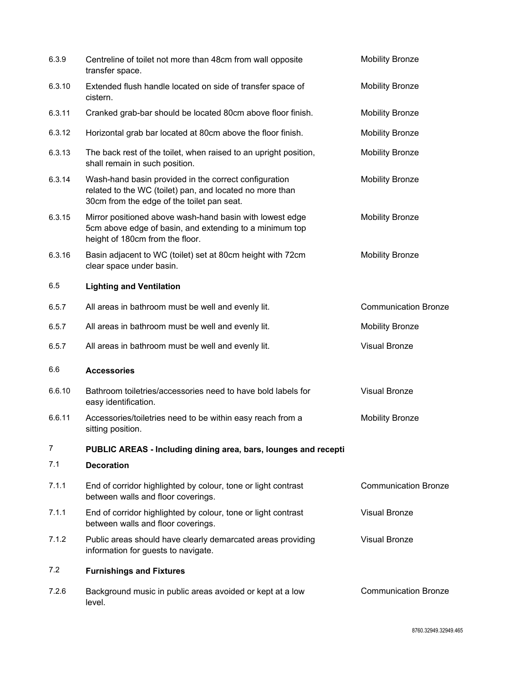| 6.3.9  | Centreline of toilet not more than 48cm from wall opposite<br>transfer space.                                                                                   | <b>Mobility Bronze</b>      |
|--------|-----------------------------------------------------------------------------------------------------------------------------------------------------------------|-----------------------------|
| 6.3.10 | Extended flush handle located on side of transfer space of<br>cistern.                                                                                          | <b>Mobility Bronze</b>      |
| 6.3.11 | Cranked grab-bar should be located 80cm above floor finish.                                                                                                     | <b>Mobility Bronze</b>      |
| 6.3.12 | Horizontal grab bar located at 80cm above the floor finish.                                                                                                     | <b>Mobility Bronze</b>      |
| 6.3.13 | The back rest of the toilet, when raised to an upright position,<br>shall remain in such position.                                                              | <b>Mobility Bronze</b>      |
| 6.3.14 | Wash-hand basin provided in the correct configuration<br>related to the WC (toilet) pan, and located no more than<br>30cm from the edge of the toilet pan seat. | <b>Mobility Bronze</b>      |
| 6.3.15 | Mirror positioned above wash-hand basin with lowest edge<br>5cm above edge of basin, and extending to a minimum top<br>height of 180cm from the floor.          | <b>Mobility Bronze</b>      |
| 6.3.16 | Basin adjacent to WC (toilet) set at 80cm height with 72cm<br>clear space under basin.                                                                          | <b>Mobility Bronze</b>      |
| 6.5    | <b>Lighting and Ventilation</b>                                                                                                                                 |                             |
| 6.5.7  | All areas in bathroom must be well and evenly lit.                                                                                                              | <b>Communication Bronze</b> |
| 6.5.7  | All areas in bathroom must be well and evenly lit.                                                                                                              | <b>Mobility Bronze</b>      |
| 6.5.7  | All areas in bathroom must be well and evenly lit.                                                                                                              | <b>Visual Bronze</b>        |
| 6.6    | <b>Accessories</b>                                                                                                                                              |                             |
| 6.6.10 | Bathroom toiletries/accessories need to have bold labels for<br>easy identification.                                                                            | <b>Visual Bronze</b>        |
| 6.6.11 | Accessories/toiletries need to be within easy reach from a<br>sitting position.                                                                                 | <b>Mobility Bronze</b>      |
| 7      | PUBLIC AREAS - Including dining area, bars, lounges and recepti                                                                                                 |                             |
| 7.1    | <b>Decoration</b>                                                                                                                                               |                             |
| 7.1.1  | End of corridor highlighted by colour, tone or light contrast<br>between walls and floor coverings.                                                             | <b>Communication Bronze</b> |
| 7.1.1  | End of corridor highlighted by colour, tone or light contrast<br>between walls and floor coverings.                                                             | <b>Visual Bronze</b>        |
| 7.1.2  | Public areas should have clearly demarcated areas providing<br>information for guests to navigate.                                                              | <b>Visual Bronze</b>        |
| 7.2    | <b>Furnishings and Fixtures</b>                                                                                                                                 |                             |
| 7.2.6  | Background music in public areas avoided or kept at a low<br>level.                                                                                             | <b>Communication Bronze</b> |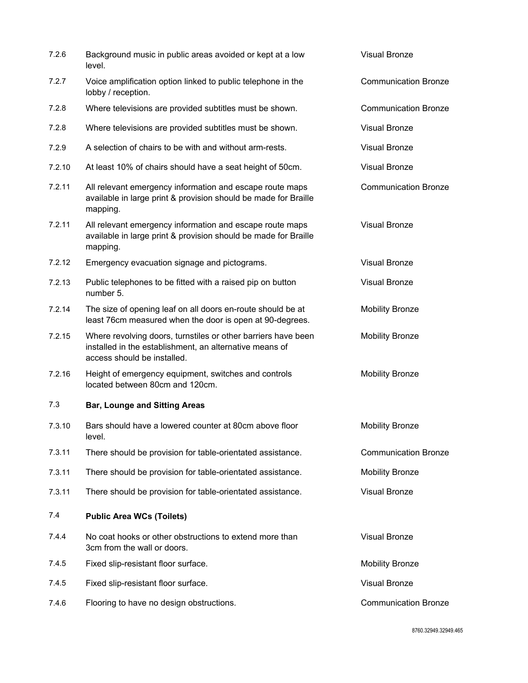| 7.2.6  | Background music in public areas avoided or kept at a low<br>level.                                                                                     | <b>Visual Bronze</b>        |
|--------|---------------------------------------------------------------------------------------------------------------------------------------------------------|-----------------------------|
| 7.2.7  | Voice amplification option linked to public telephone in the<br>lobby / reception.                                                                      | <b>Communication Bronze</b> |
| 7.2.8  | Where televisions are provided subtitles must be shown.                                                                                                 | <b>Communication Bronze</b> |
| 7.2.8  | Where televisions are provided subtitles must be shown.                                                                                                 | <b>Visual Bronze</b>        |
| 7.2.9  | A selection of chairs to be with and without arm-rests.                                                                                                 | <b>Visual Bronze</b>        |
| 7.2.10 | At least 10% of chairs should have a seat height of 50cm.                                                                                               | <b>Visual Bronze</b>        |
| 7.2.11 | All relevant emergency information and escape route maps<br>available in large print & provision should be made for Braille<br>mapping.                 | <b>Communication Bronze</b> |
| 7.2.11 | All relevant emergency information and escape route maps<br>available in large print & provision should be made for Braille<br>mapping.                 | <b>Visual Bronze</b>        |
| 7.2.12 | Emergency evacuation signage and pictograms.                                                                                                            | <b>Visual Bronze</b>        |
| 7.2.13 | Public telephones to be fitted with a raised pip on button<br>number 5.                                                                                 | <b>Visual Bronze</b>        |
| 7.2.14 | The size of opening leaf on all doors en-route should be at<br>least 76cm measured when the door is open at 90-degrees.                                 | <b>Mobility Bronze</b>      |
| 7.2.15 | Where revolving doors, turnstiles or other barriers have been<br>installed in the establishment, an alternative means of<br>access should be installed. | <b>Mobility Bronze</b>      |
| 7.2.16 | Height of emergency equipment, switches and controls<br>located between 80cm and 120cm.                                                                 | <b>Mobility Bronze</b>      |
| 7.3    | <b>Bar, Lounge and Sitting Areas</b>                                                                                                                    |                             |
| 7.3.10 | Bars should have a lowered counter at 80cm above floor<br>level.                                                                                        | <b>Mobility Bronze</b>      |
| 7.3.11 | There should be provision for table-orientated assistance.                                                                                              | <b>Communication Bronze</b> |
| 7.3.11 | There should be provision for table-orientated assistance.                                                                                              | <b>Mobility Bronze</b>      |
| 7.3.11 | There should be provision for table-orientated assistance.                                                                                              | <b>Visual Bronze</b>        |
| 7.4    | <b>Public Area WCs (Toilets)</b>                                                                                                                        |                             |
| 7.4.4  | No coat hooks or other obstructions to extend more than<br>3cm from the wall or doors.                                                                  | <b>Visual Bronze</b>        |
| 7.4.5  | Fixed slip-resistant floor surface.                                                                                                                     | <b>Mobility Bronze</b>      |
| 7.4.5  | Fixed slip-resistant floor surface.                                                                                                                     | <b>Visual Bronze</b>        |
| 7.4.6  | Flooring to have no design obstructions.                                                                                                                | <b>Communication Bronze</b> |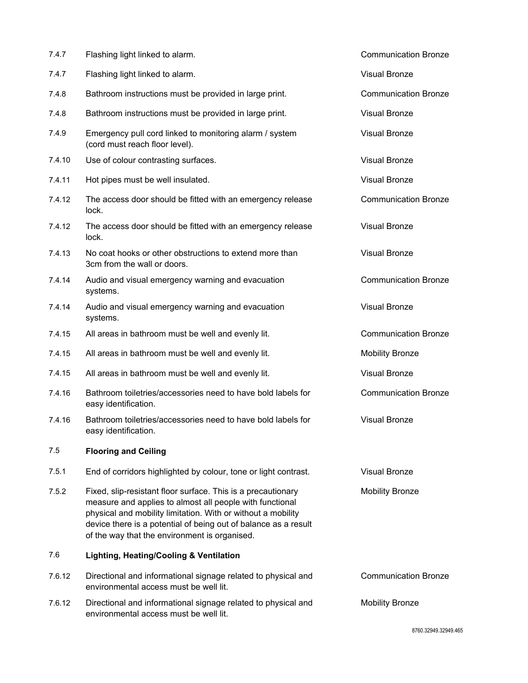| 7.4.7  | Flashing light linked to alarm.                                                                                                                                                                                                                                                                              | <b>Communication Bronze</b> |
|--------|--------------------------------------------------------------------------------------------------------------------------------------------------------------------------------------------------------------------------------------------------------------------------------------------------------------|-----------------------------|
| 7.4.7  | Flashing light linked to alarm.                                                                                                                                                                                                                                                                              | <b>Visual Bronze</b>        |
| 7.4.8  | Bathroom instructions must be provided in large print.                                                                                                                                                                                                                                                       | <b>Communication Bronze</b> |
| 7.4.8  | Bathroom instructions must be provided in large print.                                                                                                                                                                                                                                                       | <b>Visual Bronze</b>        |
| 7.4.9  | Emergency pull cord linked to monitoring alarm / system<br>(cord must reach floor level).                                                                                                                                                                                                                    | <b>Visual Bronze</b>        |
| 7.4.10 | Use of colour contrasting surfaces.                                                                                                                                                                                                                                                                          | <b>Visual Bronze</b>        |
| 7.4.11 | Hot pipes must be well insulated.                                                                                                                                                                                                                                                                            | <b>Visual Bronze</b>        |
| 7.4.12 | The access door should be fitted with an emergency release<br>lock.                                                                                                                                                                                                                                          | <b>Communication Bronze</b> |
| 7.4.12 | The access door should be fitted with an emergency release<br>lock.                                                                                                                                                                                                                                          | <b>Visual Bronze</b>        |
| 7.4.13 | No coat hooks or other obstructions to extend more than<br>3cm from the wall or doors.                                                                                                                                                                                                                       | <b>Visual Bronze</b>        |
| 7.4.14 | Audio and visual emergency warning and evacuation<br>systems.                                                                                                                                                                                                                                                | <b>Communication Bronze</b> |
| 7.4.14 | Audio and visual emergency warning and evacuation<br>systems.                                                                                                                                                                                                                                                | <b>Visual Bronze</b>        |
| 7.4.15 | All areas in bathroom must be well and evenly lit.                                                                                                                                                                                                                                                           | <b>Communication Bronze</b> |
| 7.4.15 | All areas in bathroom must be well and evenly lit.                                                                                                                                                                                                                                                           | <b>Mobility Bronze</b>      |
| 7.4.15 | All areas in bathroom must be well and evenly lit.                                                                                                                                                                                                                                                           | <b>Visual Bronze</b>        |
| 7.4.16 | Bathroom toiletries/accessories need to have bold labels for<br>easy identification.                                                                                                                                                                                                                         | <b>Communication Bronze</b> |
| 7.4.16 | Bathroom toiletries/accessories need to have bold labels for<br>easy identification.                                                                                                                                                                                                                         | <b>Visual Bronze</b>        |
| 7.5    | <b>Flooring and Ceiling</b>                                                                                                                                                                                                                                                                                  |                             |
| 7.5.1  | End of corridors highlighted by colour, tone or light contrast.                                                                                                                                                                                                                                              | <b>Visual Bronze</b>        |
| 7.5.2  | Fixed, slip-resistant floor surface. This is a precautionary<br>measure and applies to almost all people with functional<br>physical and mobility limitation. With or without a mobility<br>device there is a potential of being out of balance as a result<br>of the way that the environment is organised. | <b>Mobility Bronze</b>      |
| 7.6    | Lighting, Heating/Cooling & Ventilation                                                                                                                                                                                                                                                                      |                             |
| 7.6.12 | Directional and informational signage related to physical and<br>environmental access must be well lit.                                                                                                                                                                                                      | <b>Communication Bronze</b> |
| 7.6.12 | Directional and informational signage related to physical and<br>environmental access must be well lit.                                                                                                                                                                                                      | <b>Mobility Bronze</b>      |
|        |                                                                                                                                                                                                                                                                                                              | 8760.32949.32949.465        |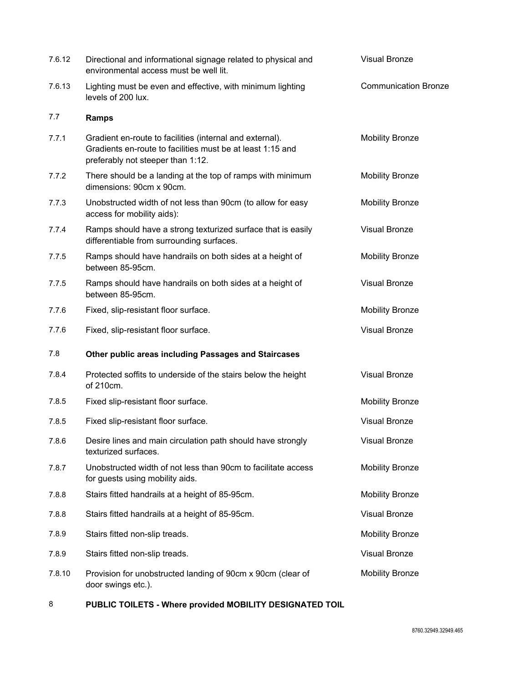| 7.6.12 | Directional and informational signage related to physical and<br>environmental access must be well lit.                                                     | <b>Visual Bronze</b>        |
|--------|-------------------------------------------------------------------------------------------------------------------------------------------------------------|-----------------------------|
| 7.6.13 | Lighting must be even and effective, with minimum lighting<br>levels of 200 lux.                                                                            | <b>Communication Bronze</b> |
| 7.7    | <b>Ramps</b>                                                                                                                                                |                             |
| 7.7.1  | Gradient en-route to facilities (internal and external).<br>Gradients en-route to facilities must be at least 1:15 and<br>preferably not steeper than 1:12. | <b>Mobility Bronze</b>      |
| 7.7.2  | There should be a landing at the top of ramps with minimum<br>dimensions: 90cm x 90cm.                                                                      | <b>Mobility Bronze</b>      |
| 7.7.3  | Unobstructed width of not less than 90cm (to allow for easy<br>access for mobility aids):                                                                   | <b>Mobility Bronze</b>      |
| 7.7.4  | Ramps should have a strong texturized surface that is easily<br>differentiable from surrounding surfaces.                                                   | <b>Visual Bronze</b>        |
| 7.7.5  | Ramps should have handrails on both sides at a height of<br>between 85-95cm.                                                                                | <b>Mobility Bronze</b>      |
| 7.7.5  | Ramps should have handrails on both sides at a height of<br>between 85-95cm.                                                                                | <b>Visual Bronze</b>        |
| 7.7.6  | Fixed, slip-resistant floor surface.                                                                                                                        | <b>Mobility Bronze</b>      |
| 7.7.6  | Fixed, slip-resistant floor surface.                                                                                                                        | <b>Visual Bronze</b>        |
| 7.8    | Other public areas including Passages and Staircases                                                                                                        |                             |
| 7.8.4  | Protected soffits to underside of the stairs below the height<br>of 210cm.                                                                                  | <b>Visual Bronze</b>        |
| 7.8.5  | Fixed slip-resistant floor surface.                                                                                                                         | <b>Mobility Bronze</b>      |
| 7.8.5  | Fixed slip-resistant floor surface.                                                                                                                         | <b>Visual Bronze</b>        |
| 7.8.6  | Desire lines and main circulation path should have strongly<br>texturized surfaces.                                                                         | <b>Visual Bronze</b>        |
| 7.8.7  | Unobstructed width of not less than 90cm to facilitate access<br>for guests using mobility aids.                                                            | <b>Mobility Bronze</b>      |
| 7.8.8  | Stairs fitted handrails at a height of 85-95cm.                                                                                                             | <b>Mobility Bronze</b>      |
| 7.8.8  | Stairs fitted handrails at a height of 85-95cm.                                                                                                             | <b>Visual Bronze</b>        |
| 7.8.9  | Stairs fitted non-slip treads.                                                                                                                              | <b>Mobility Bronze</b>      |
| 7.8.9  | Stairs fitted non-slip treads.                                                                                                                              | <b>Visual Bronze</b>        |
| 7.8.10 | Provision for unobstructed landing of 90cm x 90cm (clear of<br>door swings etc.).                                                                           | <b>Mobility Bronze</b>      |

8 **PUBLIC TOILETS - Where provided MOBILITY DESIGNATED TOIL**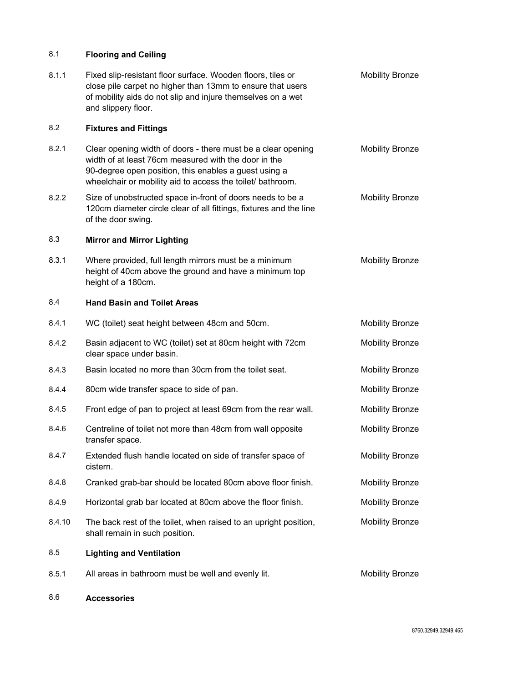## 8.1 **Flooring and Ceiling**

| 8.1.1  | Fixed slip-resistant floor surface. Wooden floors, tiles or<br>close pile carpet no higher than 13mm to ensure that users<br>of mobility aids do not slip and injure themselves on a wet<br>and slippery floor.                             | <b>Mobility Bronze</b> |
|--------|---------------------------------------------------------------------------------------------------------------------------------------------------------------------------------------------------------------------------------------------|------------------------|
| 8.2    | <b>Fixtures and Fittings</b>                                                                                                                                                                                                                |                        |
| 8.2.1  | Clear opening width of doors - there must be a clear opening<br>width of at least 76cm measured with the door in the<br>90-degree open position, this enables a guest using a<br>wheelchair or mobility aid to access the toilet/ bathroom. | <b>Mobility Bronze</b> |
| 8.2.2  | Size of unobstructed space in-front of doors needs to be a<br>120cm diameter circle clear of all fittings, fixtures and the line<br>of the door swing.                                                                                      | <b>Mobility Bronze</b> |
| 8.3    | <b>Mirror and Mirror Lighting</b>                                                                                                                                                                                                           |                        |
| 8.3.1  | Where provided, full length mirrors must be a minimum<br>height of 40cm above the ground and have a minimum top<br>height of a 180cm.                                                                                                       | <b>Mobility Bronze</b> |
| 8.4    | <b>Hand Basin and Toilet Areas</b>                                                                                                                                                                                                          |                        |
| 8.4.1  | WC (toilet) seat height between 48cm and 50cm.                                                                                                                                                                                              | <b>Mobility Bronze</b> |
| 8.4.2  | Basin adjacent to WC (toilet) set at 80cm height with 72cm<br>clear space under basin.                                                                                                                                                      | <b>Mobility Bronze</b> |
| 8.4.3  | Basin located no more than 30cm from the toilet seat.                                                                                                                                                                                       | <b>Mobility Bronze</b> |
| 8.4.4  | 80cm wide transfer space to side of pan.                                                                                                                                                                                                    | <b>Mobility Bronze</b> |
| 8.4.5  | Front edge of pan to project at least 69cm from the rear wall.                                                                                                                                                                              | <b>Mobility Bronze</b> |
| 8.4.6  | Centreline of toilet not more than 48cm from wall opposite<br>transfer space.                                                                                                                                                               | <b>Mobility Bronze</b> |
| 8.4.7  | Extended flush handle located on side of transfer space of<br>cistern.                                                                                                                                                                      | <b>Mobility Bronze</b> |
| 8.4.8  | Cranked grab-bar should be located 80cm above floor finish.                                                                                                                                                                                 | <b>Mobility Bronze</b> |
| 8.4.9  | Horizontal grab bar located at 80cm above the floor finish.                                                                                                                                                                                 | <b>Mobility Bronze</b> |
| 8.4.10 | The back rest of the toilet, when raised to an upright position,<br>shall remain in such position.                                                                                                                                          | <b>Mobility Bronze</b> |
| 8.5    | <b>Lighting and Ventilation</b>                                                                                                                                                                                                             |                        |
| 8.5.1  | All areas in bathroom must be well and evenly lit.                                                                                                                                                                                          | <b>Mobility Bronze</b> |

8.6 **Accessories**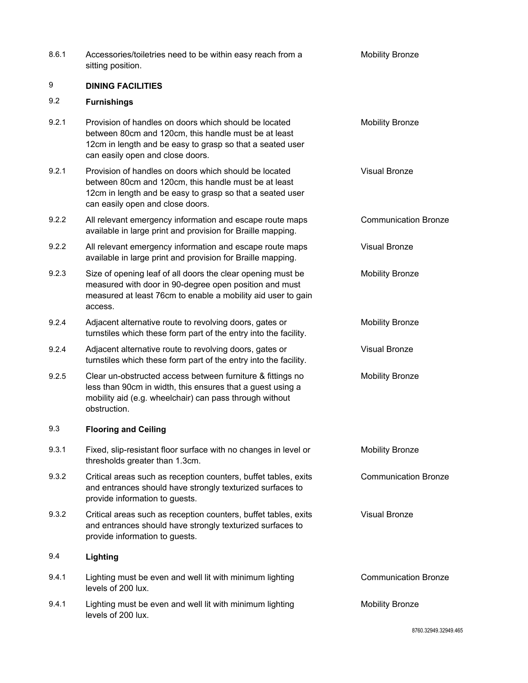| 8.6.1 | Accessories/toiletries need to be within easy reach from a<br>sitting position.                                                                                                                                | <b>Mobility Bronze</b>      |
|-------|----------------------------------------------------------------------------------------------------------------------------------------------------------------------------------------------------------------|-----------------------------|
| 9     | <b>DINING FACILITIES</b>                                                                                                                                                                                       |                             |
| 9.2   | <b>Furnishings</b>                                                                                                                                                                                             |                             |
| 9.2.1 | Provision of handles on doors which should be located<br>between 80cm and 120cm, this handle must be at least<br>12cm in length and be easy to grasp so that a seated user<br>can easily open and close doors. | <b>Mobility Bronze</b>      |
| 9.2.1 | Provision of handles on doors which should be located<br>between 80cm and 120cm, this handle must be at least<br>12cm in length and be easy to grasp so that a seated user<br>can easily open and close doors. | <b>Visual Bronze</b>        |
| 9.2.2 | All relevant emergency information and escape route maps<br>available in large print and provision for Braille mapping.                                                                                        | <b>Communication Bronze</b> |
| 9.2.2 | All relevant emergency information and escape route maps<br>available in large print and provision for Braille mapping.                                                                                        | Visual Bronze               |
| 9.2.3 | Size of opening leaf of all doors the clear opening must be<br>measured with door in 90-degree open position and must<br>measured at least 76cm to enable a mobility aid user to gain<br>access.               | <b>Mobility Bronze</b>      |
| 9.2.4 | Adjacent alternative route to revolving doors, gates or<br>turnstiles which these form part of the entry into the facility.                                                                                    | <b>Mobility Bronze</b>      |
| 9.2.4 | Adjacent alternative route to revolving doors, gates or<br>turnstiles which these form part of the entry into the facility.                                                                                    | <b>Visual Bronze</b>        |
| 9.2.5 | Clear un-obstructed access between furniture & fittings no<br>less than 90cm in width, this ensures that a guest using a<br>mobility aid (e.g. wheelchair) can pass through without<br>obstruction.            | <b>Mobility Bronze</b>      |
| 9.3   | <b>Flooring and Ceiling</b>                                                                                                                                                                                    |                             |
| 9.3.1 | Fixed, slip-resistant floor surface with no changes in level or<br>thresholds greater than 1.3cm.                                                                                                              | <b>Mobility Bronze</b>      |
| 9.3.2 | Critical areas such as reception counters, buffet tables, exits<br>and entrances should have strongly texturized surfaces to<br>provide information to guests.                                                 | <b>Communication Bronze</b> |
| 9.3.2 | Critical areas such as reception counters, buffet tables, exits<br>and entrances should have strongly texturized surfaces to<br>provide information to guests.                                                 | Visual Bronze               |
| 9.4   | Lighting                                                                                                                                                                                                       |                             |
| 9.4.1 | Lighting must be even and well lit with minimum lighting<br>levels of 200 lux.                                                                                                                                 | <b>Communication Bronze</b> |
| 9.4.1 | Lighting must be even and well lit with minimum lighting<br>levels of 200 lux.                                                                                                                                 | <b>Mobility Bronze</b>      |
|       |                                                                                                                                                                                                                | 8760.32949.32949.465        |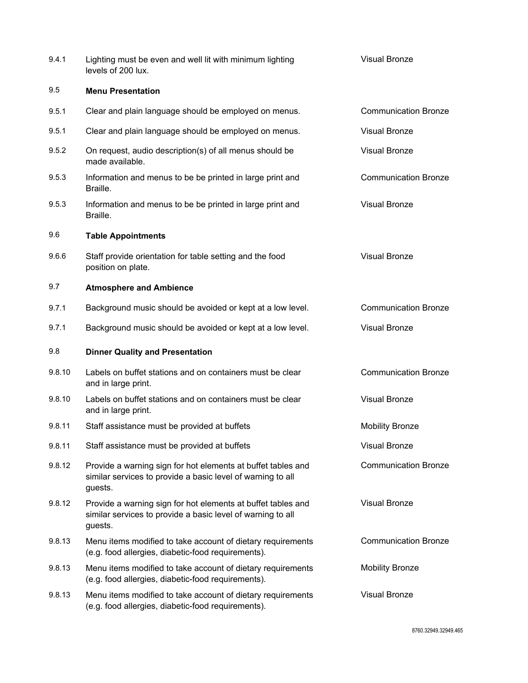| 9.4.1  | Lighting must be even and well lit with minimum lighting<br>levels of 200 lux.                                                         | <b>Visual Bronze</b>        |
|--------|----------------------------------------------------------------------------------------------------------------------------------------|-----------------------------|
| 9.5    | <b>Menu Presentation</b>                                                                                                               |                             |
| 9.5.1  | Clear and plain language should be employed on menus.                                                                                  | <b>Communication Bronze</b> |
| 9.5.1  | Clear and plain language should be employed on menus.                                                                                  | <b>Visual Bronze</b>        |
| 9.5.2  | On request, audio description(s) of all menus should be<br>made available.                                                             | <b>Visual Bronze</b>        |
| 9.5.3  | Information and menus to be be printed in large print and<br>Braille.                                                                  | <b>Communication Bronze</b> |
| 9.5.3  | Information and menus to be be printed in large print and<br>Braille.                                                                  | <b>Visual Bronze</b>        |
| 9.6    | <b>Table Appointments</b>                                                                                                              |                             |
| 9.6.6  | Staff provide orientation for table setting and the food<br>position on plate.                                                         | <b>Visual Bronze</b>        |
| 9.7    | <b>Atmosphere and Ambience</b>                                                                                                         |                             |
| 9.7.1  | Background music should be avoided or kept at a low level.                                                                             | <b>Communication Bronze</b> |
| 9.7.1  | Background music should be avoided or kept at a low level.                                                                             | <b>Visual Bronze</b>        |
| 9.8    | <b>Dinner Quality and Presentation</b>                                                                                                 |                             |
| 9.8.10 | Labels on buffet stations and on containers must be clear<br>and in large print.                                                       | <b>Communication Bronze</b> |
| 9.8.10 | Labels on buffet stations and on containers must be clear<br>and in large print.                                                       | <b>Visual Bronze</b>        |
| 9.8.11 | Staff assistance must be provided at buffets                                                                                           | <b>Mobility Bronze</b>      |
| 9.8.11 | Staff assistance must be provided at buffets                                                                                           | <b>Visual Bronze</b>        |
| 9.8.12 | Provide a warning sign for hot elements at buffet tables and<br>similar services to provide a basic level of warning to all<br>guests. | <b>Communication Bronze</b> |
| 9.8.12 | Provide a warning sign for hot elements at buffet tables and<br>similar services to provide a basic level of warning to all<br>guests. | <b>Visual Bronze</b>        |
| 9.8.13 | Menu items modified to take account of dietary requirements<br>(e.g. food allergies, diabetic-food requirements).                      | <b>Communication Bronze</b> |
| 9.8.13 | Menu items modified to take account of dietary requirements<br>(e.g. food allergies, diabetic-food requirements).                      | <b>Mobility Bronze</b>      |
| 9.8.13 | Menu items modified to take account of dietary requirements<br>(e.g. food allergies, diabetic-food requirements).                      | <b>Visual Bronze</b>        |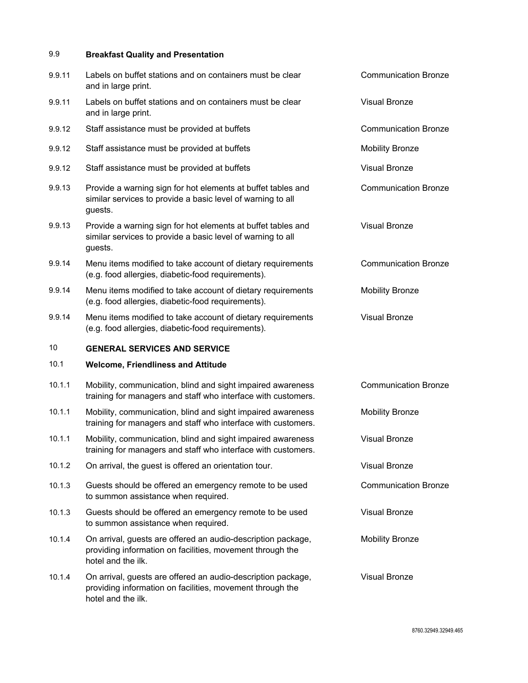## 9.9 **Breakfast Quality and Presentation**

| 9.9.11 | Labels on buffet stations and on containers must be clear<br>and in large print.                                                                | <b>Communication Bronze</b> |
|--------|-------------------------------------------------------------------------------------------------------------------------------------------------|-----------------------------|
| 9.9.11 | Labels on buffet stations and on containers must be clear<br>and in large print.                                                                | <b>Visual Bronze</b>        |
| 9.9.12 | Staff assistance must be provided at buffets                                                                                                    | <b>Communication Bronze</b> |
| 9.9.12 | Staff assistance must be provided at buffets                                                                                                    | <b>Mobility Bronze</b>      |
| 9.9.12 | Staff assistance must be provided at buffets                                                                                                    | <b>Visual Bronze</b>        |
| 9.9.13 | Provide a warning sign for hot elements at buffet tables and<br>similar services to provide a basic level of warning to all<br>guests.          | <b>Communication Bronze</b> |
| 9.9.13 | Provide a warning sign for hot elements at buffet tables and<br>similar services to provide a basic level of warning to all<br>guests.          | <b>Visual Bronze</b>        |
| 9.9.14 | Menu items modified to take account of dietary requirements<br>(e.g. food allergies, diabetic-food requirements).                               | <b>Communication Bronze</b> |
| 9.9.14 | Menu items modified to take account of dietary requirements<br>(e.g. food allergies, diabetic-food requirements).                               | <b>Mobility Bronze</b>      |
| 9.9.14 | Menu items modified to take account of dietary requirements<br>(e.g. food allergies, diabetic-food requirements).                               | <b>Visual Bronze</b>        |
|        |                                                                                                                                                 |                             |
| 10     | <b>GENERAL SERVICES AND SERVICE</b>                                                                                                             |                             |
| 10.1   | <b>Welcome, Friendliness and Attitude</b>                                                                                                       |                             |
| 10.1.1 | Mobility, communication, blind and sight impaired awareness<br>training for managers and staff who interface with customers.                    | <b>Communication Bronze</b> |
| 10.1.1 | Mobility, communication, blind and sight impaired awareness<br>training for managers and staff who interface with customers.                    | <b>Mobility Bronze</b>      |
| 10.1.1 | Mobility, communication, blind and sight impaired awareness<br>training for managers and staff who interface with customers.                    | <b>Visual Bronze</b>        |
| 10.1.2 | On arrival, the guest is offered an orientation tour.                                                                                           | <b>Visual Bronze</b>        |
| 10.1.3 | Guests should be offered an emergency remote to be used<br>to summon assistance when required.                                                  | <b>Communication Bronze</b> |
| 10.1.3 | Guests should be offered an emergency remote to be used<br>to summon assistance when required.                                                  | <b>Visual Bronze</b>        |
| 10.1.4 | On arrival, guests are offered an audio-description package,<br>providing information on facilities, movement through the<br>hotel and the ilk. | <b>Mobility Bronze</b>      |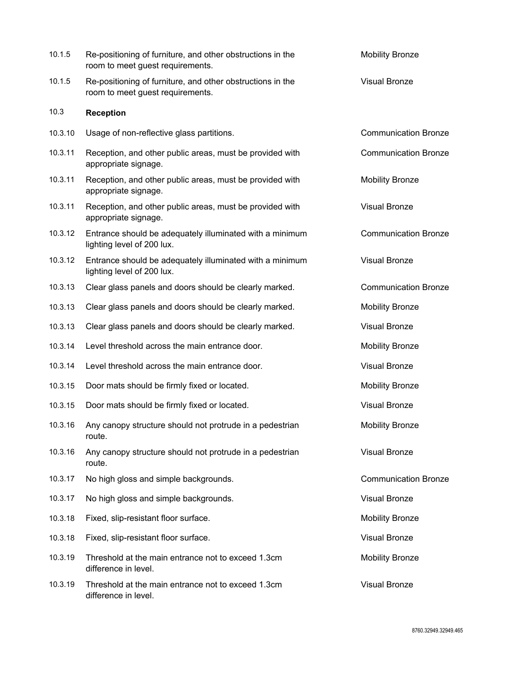| 10.1.5  | Re-positioning of furniture, and other obstructions in the<br>room to meet guest requirements. | <b>Mobility Bronze</b>      |
|---------|------------------------------------------------------------------------------------------------|-----------------------------|
| 10.1.5  | Re-positioning of furniture, and other obstructions in the<br>room to meet guest requirements. | <b>Visual Bronze</b>        |
| 10.3    | <b>Reception</b>                                                                               |                             |
| 10.3.10 | Usage of non-reflective glass partitions.                                                      | <b>Communication Bronze</b> |
| 10.3.11 | Reception, and other public areas, must be provided with<br>appropriate signage.               | <b>Communication Bronze</b> |
| 10.3.11 | Reception, and other public areas, must be provided with<br>appropriate signage.               | <b>Mobility Bronze</b>      |
| 10.3.11 | Reception, and other public areas, must be provided with<br>appropriate signage.               | <b>Visual Bronze</b>        |
| 10.3.12 | Entrance should be adequately illuminated with a minimum<br>lighting level of 200 lux.         | <b>Communication Bronze</b> |
| 10.3.12 | Entrance should be adequately illuminated with a minimum<br>lighting level of 200 lux.         | <b>Visual Bronze</b>        |
| 10.3.13 | Clear glass panels and doors should be clearly marked.                                         | <b>Communication Bronze</b> |
| 10.3.13 | Clear glass panels and doors should be clearly marked.                                         | <b>Mobility Bronze</b>      |
| 10.3.13 | Clear glass panels and doors should be clearly marked.                                         | <b>Visual Bronze</b>        |
| 10.3.14 | Level threshold across the main entrance door.                                                 | <b>Mobility Bronze</b>      |
| 10.3.14 | Level threshold across the main entrance door.                                                 | <b>Visual Bronze</b>        |
| 10.3.15 | Door mats should be firmly fixed or located.                                                   | <b>Mobility Bronze</b>      |
| 10.3.15 | Door mats should be firmly fixed or located.                                                   | <b>Visual Bronze</b>        |
| 10.3.16 | Any canopy structure should not protrude in a pedestrian<br>route.                             | <b>Mobility Bronze</b>      |
| 10.3.16 | Any canopy structure should not protrude in a pedestrian<br>route.                             | <b>Visual Bronze</b>        |
| 10.3.17 | No high gloss and simple backgrounds.                                                          | <b>Communication Bronze</b> |
| 10.3.17 | No high gloss and simple backgrounds.                                                          | <b>Visual Bronze</b>        |
| 10.3.18 | Fixed, slip-resistant floor surface.                                                           | <b>Mobility Bronze</b>      |
| 10.3.18 | Fixed, slip-resistant floor surface.                                                           | <b>Visual Bronze</b>        |
| 10.3.19 | Threshold at the main entrance not to exceed 1.3cm<br>difference in level.                     | <b>Mobility Bronze</b>      |
| 10.3.19 | Threshold at the main entrance not to exceed 1.3cm<br>difference in level.                     | <b>Visual Bronze</b>        |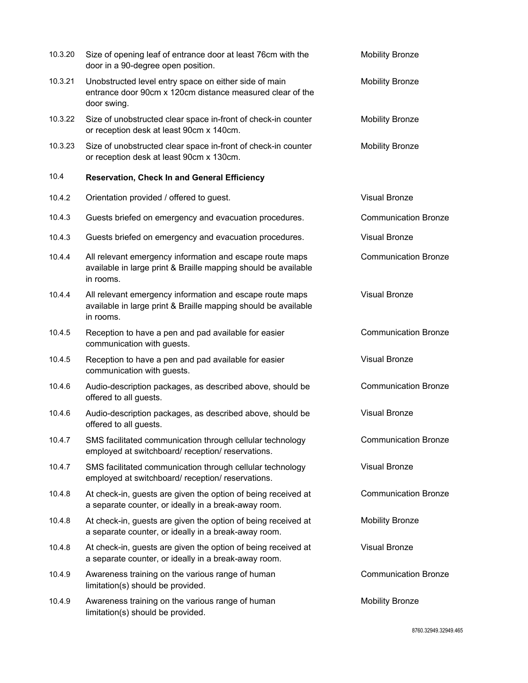| 10.3.20 | Size of opening leaf of entrance door at least 76cm with the<br>door in a 90-degree open position.                                      | <b>Mobility Bronze</b>      |
|---------|-----------------------------------------------------------------------------------------------------------------------------------------|-----------------------------|
| 10.3.21 | Unobstructed level entry space on either side of main<br>entrance door 90cm x 120cm distance measured clear of the<br>door swing.       | <b>Mobility Bronze</b>      |
| 10.3.22 | Size of unobstructed clear space in-front of check-in counter<br>or reception desk at least 90cm x 140cm.                               | <b>Mobility Bronze</b>      |
| 10.3.23 | Size of unobstructed clear space in-front of check-in counter<br>or reception desk at least 90cm x 130cm.                               | <b>Mobility Bronze</b>      |
| 10.4    | <b>Reservation, Check In and General Efficiency</b>                                                                                     |                             |
| 10.4.2  | Orientation provided / offered to guest.                                                                                                | <b>Visual Bronze</b>        |
| 10.4.3  | Guests briefed on emergency and evacuation procedures.                                                                                  | <b>Communication Bronze</b> |
| 10.4.3  | Guests briefed on emergency and evacuation procedures.                                                                                  | <b>Visual Bronze</b>        |
| 10.4.4  | All relevant emergency information and escape route maps<br>available in large print & Braille mapping should be available<br>in rooms. | <b>Communication Bronze</b> |
| 10.4.4  | All relevant emergency information and escape route maps<br>available in large print & Braille mapping should be available<br>in rooms. | <b>Visual Bronze</b>        |
| 10.4.5  | Reception to have a pen and pad available for easier<br>communication with guests.                                                      | <b>Communication Bronze</b> |
| 10.4.5  | Reception to have a pen and pad available for easier<br>communication with guests.                                                      | <b>Visual Bronze</b>        |
| 10.4.6  | Audio-description packages, as described above, should be<br>offered to all guests.                                                     | <b>Communication Bronze</b> |
| 10.4.6  | Audio-description packages, as described above, should be<br>offered to all guests.                                                     | <b>Visual Bronze</b>        |
| 10.4.7  | SMS facilitated communication through cellular technology<br>employed at switchboard/reception/reservations.                            | <b>Communication Bronze</b> |
| 10.4.7  | SMS facilitated communication through cellular technology<br>employed at switchboard/reception/reservations.                            | <b>Visual Bronze</b>        |
| 10.4.8  | At check-in, guests are given the option of being received at<br>a separate counter, or ideally in a break-away room.                   | <b>Communication Bronze</b> |
| 10.4.8  | At check-in, guests are given the option of being received at<br>a separate counter, or ideally in a break-away room.                   | <b>Mobility Bronze</b>      |
| 10.4.8  | At check-in, guests are given the option of being received at<br>a separate counter, or ideally in a break-away room.                   | <b>Visual Bronze</b>        |
| 10.4.9  | Awareness training on the various range of human<br>limitation(s) should be provided.                                                   | <b>Communication Bronze</b> |
| 10.4.9  | Awareness training on the various range of human<br>limitation(s) should be provided.                                                   | <b>Mobility Bronze</b>      |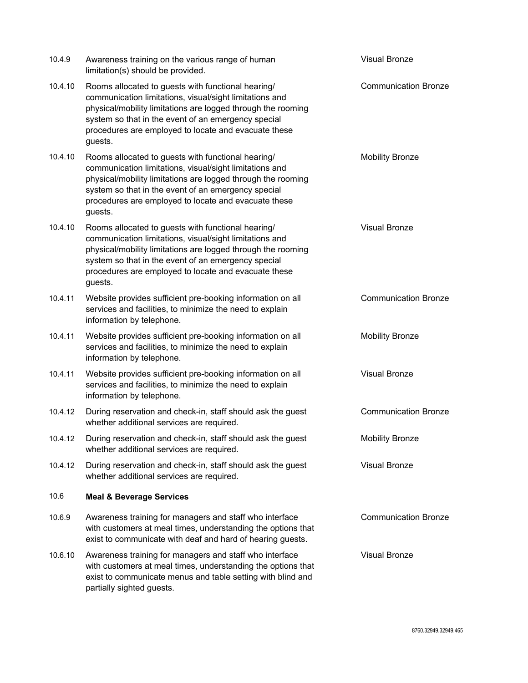| 10.4.9  | Awareness training on the various range of human<br>limitation(s) should be provided.                                                                                                                                                                                                                   | <b>Visual Bronze</b>        |
|---------|---------------------------------------------------------------------------------------------------------------------------------------------------------------------------------------------------------------------------------------------------------------------------------------------------------|-----------------------------|
| 10.4.10 | Rooms allocated to guests with functional hearing/<br>communication limitations, visual/sight limitations and<br>physical/mobility limitations are logged through the rooming<br>system so that in the event of an emergency special<br>procedures are employed to locate and evacuate these<br>guests. | <b>Communication Bronze</b> |
| 10.4.10 | Rooms allocated to guests with functional hearing/<br>communication limitations, visual/sight limitations and<br>physical/mobility limitations are logged through the rooming<br>system so that in the event of an emergency special<br>procedures are employed to locate and evacuate these<br>guests. | <b>Mobility Bronze</b>      |
| 10.4.10 | Rooms allocated to guests with functional hearing/<br>communication limitations, visual/sight limitations and<br>physical/mobility limitations are logged through the rooming<br>system so that in the event of an emergency special<br>procedures are employed to locate and evacuate these<br>guests. | <b>Visual Bronze</b>        |
| 10.4.11 | Website provides sufficient pre-booking information on all<br>services and facilities, to minimize the need to explain<br>information by telephone.                                                                                                                                                     | <b>Communication Bronze</b> |
| 10.4.11 | Website provides sufficient pre-booking information on all<br>services and facilities, to minimize the need to explain<br>information by telephone.                                                                                                                                                     | <b>Mobility Bronze</b>      |
| 10.4.11 | Website provides sufficient pre-booking information on all<br>services and facilities, to minimize the need to explain<br>information by telephone.                                                                                                                                                     | <b>Visual Bronze</b>        |
| 10.4.12 | During reservation and check-in, staff should ask the guest<br>whether additional services are required.                                                                                                                                                                                                | <b>Communication Bronze</b> |
| 10.4.12 | During reservation and check-in, staff should ask the guest<br>whether additional services are required.                                                                                                                                                                                                | <b>Mobility Bronze</b>      |
| 10.4.12 | During reservation and check-in, staff should ask the guest<br>whether additional services are required.                                                                                                                                                                                                | <b>Visual Bronze</b>        |
| 10.6    | <b>Meal &amp; Beverage Services</b>                                                                                                                                                                                                                                                                     |                             |
| 10.6.9  | Awareness training for managers and staff who interface<br>with customers at meal times, understanding the options that<br>exist to communicate with deaf and hard of hearing guests.                                                                                                                   | <b>Communication Bronze</b> |
| 10.6.10 | Awareness training for managers and staff who interface<br>with customers at meal times, understanding the options that<br>exist to communicate menus and table setting with blind and<br>partially sighted guests.                                                                                     | <b>Visual Bronze</b>        |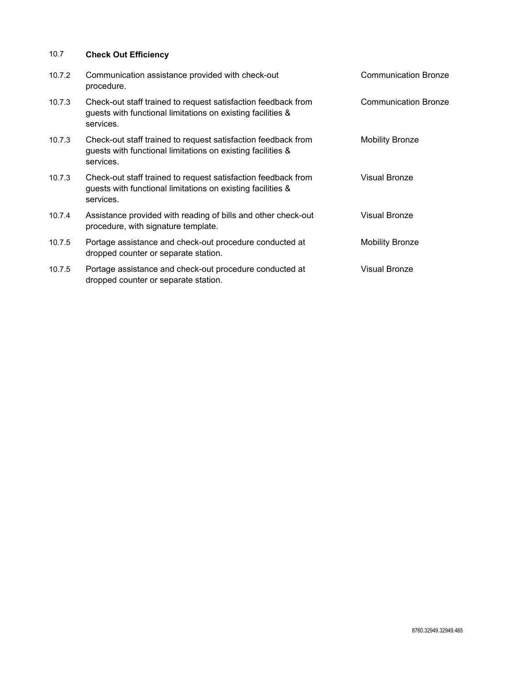## 10.7 **Check Out Efficiency**

| 10.7.2 | Communication assistance provided with check-out<br>procedure.                                                                            | <b>Communication Bronze</b> |
|--------|-------------------------------------------------------------------------------------------------------------------------------------------|-----------------------------|
| 10.7.3 | Check-out staff trained to request satisfaction feedback from<br>guests with functional limitations on existing facilities &<br>services. | <b>Communication Bronze</b> |
| 10.7.3 | Check-out staff trained to request satisfaction feedback from<br>guests with functional limitations on existing facilities &<br>services. | <b>Mobility Bronze</b>      |
| 10.7.3 | Check-out staff trained to request satisfaction feedback from<br>guests with functional limitations on existing facilities &<br>services. | <b>Visual Bronze</b>        |
| 10.7.4 | Assistance provided with reading of bills and other check-out<br>procedure, with signature template.                                      | <b>Visual Bronze</b>        |
| 10.7.5 | Portage assistance and check-out procedure conducted at<br>dropped counter or separate station.                                           | <b>Mobility Bronze</b>      |
| 10.7.5 | Portage assistance and check-out procedure conducted at<br>dropped counter or separate station.                                           | <b>Visual Bronze</b>        |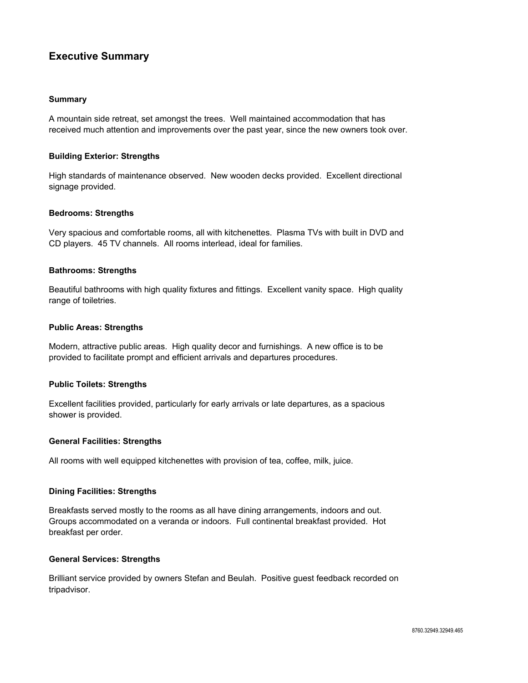## **Executive Summary**

#### **Summary**

A mountain side retreat, set amongst the trees. Well maintained accommodation that has received much attention and improvements over the past year, since the new owners took over.

#### **Building Exterior: Strengths**

High standards of maintenance observed. New wooden decks provided. Excellent directional signage provided.

#### **Bedrooms: Strengths**

Very spacious and comfortable rooms, all with kitchenettes. Plasma TVs with built in DVD and CD players. 45 TV channels. All rooms interlead, ideal for families.

#### **Bathrooms: Strengths**

Beautiful bathrooms with high quality fixtures and fittings. Excellent vanity space. High quality range of toiletries.

#### **Public Areas: Strengths**

Modern, attractive public areas. High quality decor and furnishings. A new office is to be provided to facilitate prompt and efficient arrivals and departures procedures.

#### **Public Toilets: Strengths**

Excellent facilities provided, particularly for early arrivals or late departures, as a spacious shower is provided.

#### **General Facilities: Strengths**

All rooms with well equipped kitchenettes with provision of tea, coffee, milk, juice.

#### **Dining Facilities: Strengths**

Breakfasts served mostly to the rooms as all have dining arrangements, indoors and out. Groups accommodated on a veranda or indoors. Full continental breakfast provided. Hot breakfast per order.

#### **General Services: Strengths**

Brilliant service provided by owners Stefan and Beulah. Positive guest feedback recorded on tripadvisor.